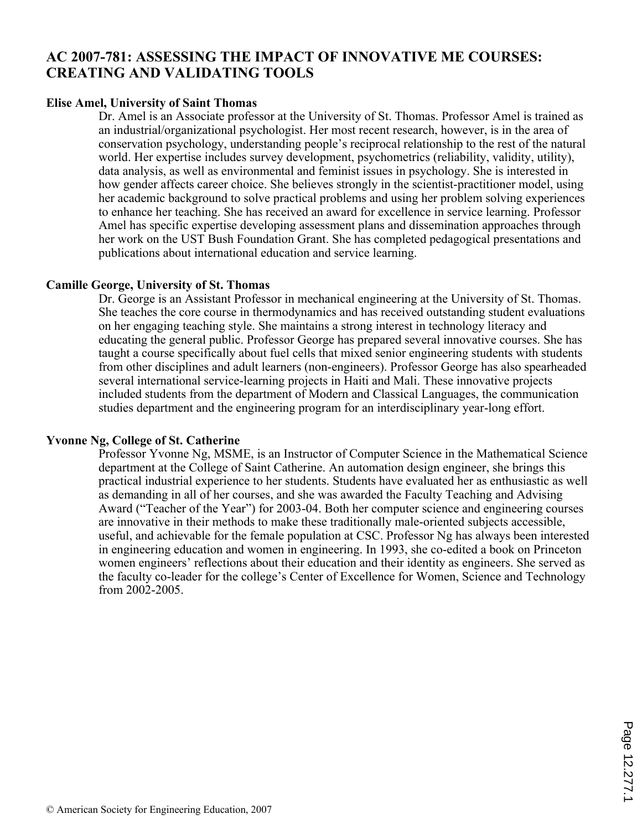# **AC 2007-781: ASSESSING THE IMPACT OF INNOVATIVE ME COURSES: CREATING AND VALIDATING TOOLS**

#### **Elise Amel, University of Saint Thomas**

Dr. Amel is an Associate professor at the University of St. Thomas. Professor Amel is trained as an industrial/organizational psychologist. Her most recent research, however, is in the area of conservation psychology, understanding people's reciprocal relationship to the rest of the natural world. Her expertise includes survey development, psychometrics (reliability, validity, utility), data analysis, as well as environmental and feminist issues in psychology. She is interested in how gender affects career choice. She believes strongly in the scientist-practitioner model, using her academic background to solve practical problems and using her problem solving experiences to enhance her teaching. She has received an award for excellence in service learning. Professor Amel has specific expertise developing assessment plans and dissemination approaches through her work on the UST Bush Foundation Grant. She has completed pedagogical presentations and publications about international education and service learning.

#### **Camille George, University of St. Thomas**

Dr. George is an Assistant Professor in mechanical engineering at the University of St. Thomas. She teaches the core course in thermodynamics and has received outstanding student evaluations on her engaging teaching style. She maintains a strong interest in technology literacy and educating the general public. Professor George has prepared several innovative courses. She has taught a course specifically about fuel cells that mixed senior engineering students with students from other disciplines and adult learners (non-engineers). Professor George has also spearheaded several international service-learning projects in Haiti and Mali. These innovative projects included students from the department of Modern and Classical Languages, the communication studies department and the engineering program for an interdisciplinary year-long effort.

#### **Yvonne Ng, College of St. Catherine**

Professor Yvonne Ng, MSME, is an Instructor of Computer Science in the Mathematical Science department at the College of Saint Catherine. An automation design engineer, she brings this practical industrial experience to her students. Students have evaluated her as enthusiastic as well as demanding in all of her courses, and she was awarded the Faculty Teaching and Advising Award ("Teacher of the Year") for 2003-04. Both her computer science and engineering courses are innovative in their methods to make these traditionally male-oriented subjects accessible, useful, and achievable for the female population at CSC. Professor Ng has always been interested in engineering education and women in engineering. In 1993, she co-edited a book on Princeton women engineers' reflections about their education and their identity as engineers. She served as the faculty co-leader for the college's Center of Excellence for Women, Science and Technology from 2002-2005.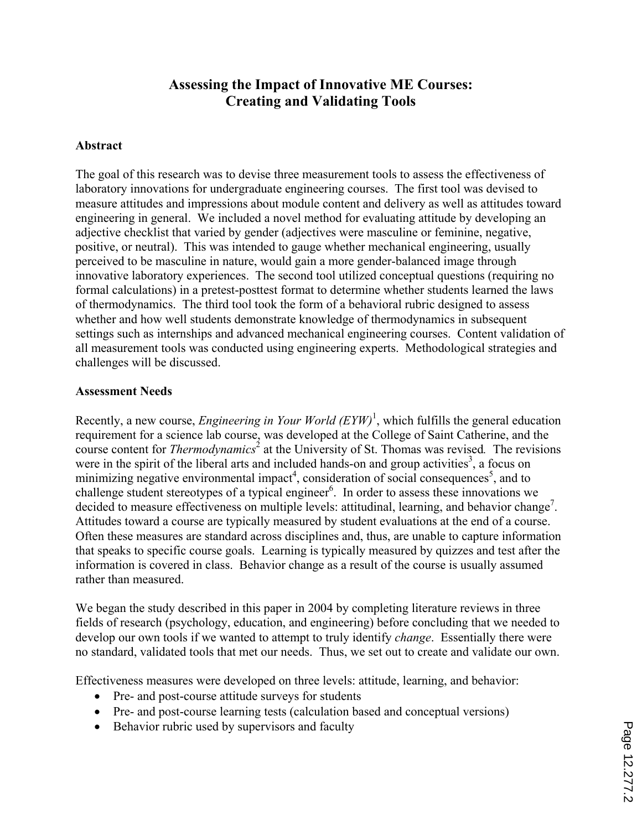# **Assessing the Impact of Innovative ME Courses: Creating and Validating Tools**

#### **Abstract**

The goal of this research was to devise three measurement tools to assess the effectiveness of laboratory innovations for undergraduate engineering courses. The first tool was devised to measure attitudes and impressions about module content and delivery as well as attitudes toward engineering in general. We included a novel method for evaluating attitude by developing an adjective checklist that varied by gender (adjectives were masculine or feminine, negative, positive, or neutral). This was intended to gauge whether mechanical engineering, usually perceived to be masculine in nature, would gain a more gender-balanced image through innovative laboratory experiences. The second tool utilized conceptual questions (requiring no formal calculations) in a pretest-posttest format to determine whether students learned the laws of thermodynamics. The third tool took the form of a behavioral rubric designed to assess whether and how well students demonstrate knowledge of thermodynamics in subsequent settings such as internships and advanced mechanical engineering courses. Content validation of all measurement tools was conducted using engineering experts. Methodological strategies and challenges will be discussed.

#### **Assessment Needs**

Recently, a new course, *Engineering in Your World (EYW)*<sup>1</sup>, which fulfills the general education requirement for a science lab course, was developed at the College of Saint Catherine, and the course content for *Thermodynamics*<sup>2</sup> at the University of St. Thomas was revised. The revisions were in the spirit of the liberal arts and included hands-on and group activities<sup>3</sup>, a focus on minimizing negative environmental impact<sup>4</sup>, consideration of social consequences<sup>5</sup>, and to challenge student stereotypes of a typical engineer<sup>6</sup>. In order to assess these innovations we decided to measure effectiveness on multiple levels: attitudinal, learning, and behavior change<sup>7</sup>. Attitudes toward a course are typically measured by student evaluations at the end of a course. Often these measures are standard across disciplines and, thus, are unable to capture information that speaks to specific course goals. Learning is typically measured by quizzes and test after the information is covered in class. Behavior change as a result of the course is usually assumed rather than measured.

We began the study described in this paper in 2004 by completing literature reviews in three fields of research (psychology, education, and engineering) before concluding that we needed to develop our own tools if we wanted to attempt to truly identify *change*. Essentially there were no standard, validated tools that met our needs. Thus, we set out to create and validate our own.

Effectiveness measures were developed on three levels: attitude, learning, and behavior:

- Pre- and post-course attitude surveys for students
- ' Pre- and post-course learning tests (calculation based and conceptual versions)
- Behavior rubric used by supervisors and faculty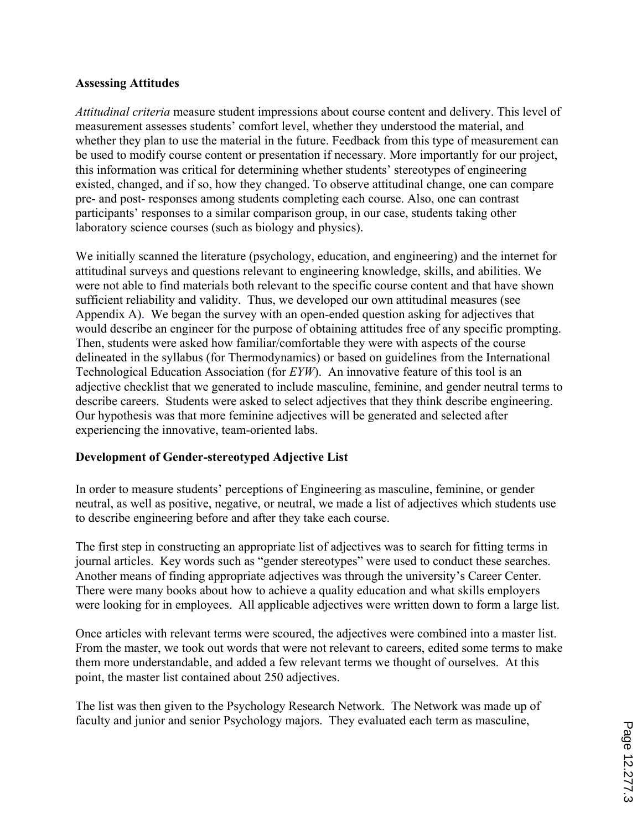### **Assessing Attitudes**

*Attitudinal criteria* measure student impressions about course content and delivery. This level of measurement assesses students' comfort level, whether they understood the material, and whether they plan to use the material in the future. Feedback from this type of measurement can be used to modify course content or presentation if necessary. More importantly for our project, this information was critical for determining whether students' stereotypes of engineering existed, changed, and if so, how they changed. To observe attitudinal change, one can compare pre- and post- responses among students completing each course. Also, one can contrast participants' responses to a similar comparison group, in our case, students taking other laboratory science courses (such as biology and physics).

We initially scanned the literature (psychology, education, and engineering) and the internet for attitudinal surveys and questions relevant to engineering knowledge, skills, and abilities. We were not able to find materials both relevant to the specific course content and that have shown sufficient reliability and validity. Thus, we developed our own attitudinal measures (see Appendix A). We began the survey with an open-ended question asking for adjectives that would describe an engineer for the purpose of obtaining attitudes free of any specific prompting. Then, students were asked how familiar/comfortable they were with aspects of the course delineated in the syllabus (for Thermodynamics) or based on guidelines from the International Technological Education Association (for *EYW*). An innovative feature of this tool is an adjective checklist that we generated to include masculine, feminine, and gender neutral terms to describe careers. Students were asked to select adjectives that they think describe engineering. Our hypothesis was that more feminine adjectives will be generated and selected after experiencing the innovative, team-oriented labs.

## **Development of Gender-stereotyped Adjective List**

In order to measure students' perceptions of Engineering as masculine, feminine, or gender neutral, as well as positive, negative, or neutral, we made a list of adjectives which students use to describe engineering before and after they take each course.

The first step in constructing an appropriate list of adjectives was to search for fitting terms in journal articles. Key words such as "gender stereotypes" were used to conduct these searches. Another means of finding appropriate adjectives was through the university's Career Center. There were many books about how to achieve a quality education and what skills employers were looking for in employees. All applicable adjectives were written down to form a large list.

Once articles with relevant terms were scoured, the adjectives were combined into a master list. From the master, we took out words that were not relevant to careers, edited some terms to make them more understandable, and added a few relevant terms we thought of ourselves. At this point, the master list contained about 250 adjectives.

The list was then given to the Psychology Research Network. The Network was made up of faculty and junior and senior Psychology majors. They evaluated each term as masculine,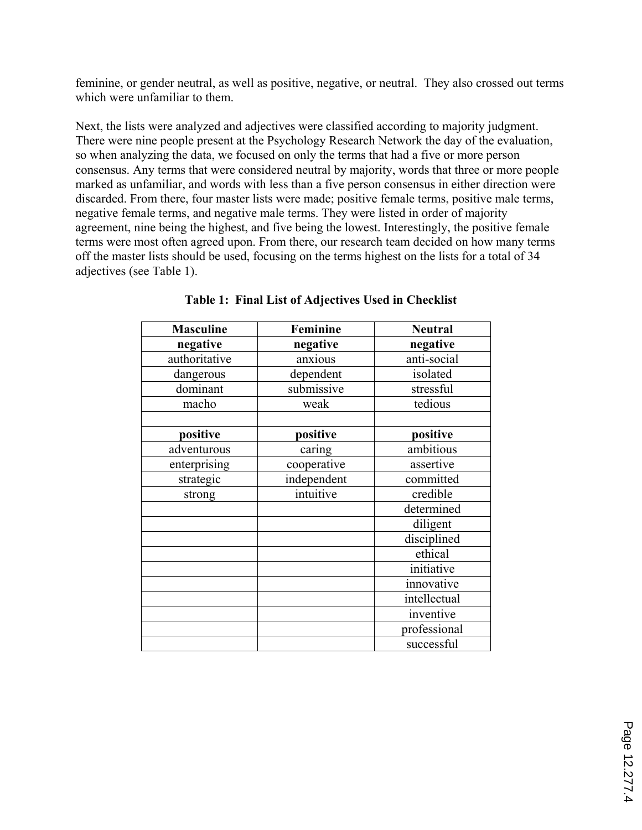feminine, or gender neutral, as well as positive, negative, or neutral. They also crossed out terms which were unfamiliar to them.

Next, the lists were analyzed and adjectives were classified according to majority judgment. There were nine people present at the Psychology Research Network the day of the evaluation, so when analyzing the data, we focused on only the terms that had a five or more person consensus. Any terms that were considered neutral by majority, words that three or more people marked as unfamiliar, and words with less than a five person consensus in either direction were discarded. From there, four master lists were made; positive female terms, positive male terms, negative female terms, and negative male terms. They were listed in order of majority agreement, nine being the highest, and five being the lowest. Interestingly, the positive female terms were most often agreed upon. From there, our research team decided on how many terms off the master lists should be used, focusing on the terms highest on the lists for a total of 34 adjectives (see Table 1).

| <b>Masculine</b> | Feminine    | <b>Neutral</b> |
|------------------|-------------|----------------|
| negative         | negative    | negative       |
| authoritative    | anxious     | anti-social    |
| dangerous        | dependent   | isolated       |
| dominant         | submissive  | stressful      |
| macho            | weak        | tedious        |
|                  |             |                |
| positive         | positive    | positive       |
| adventurous      | caring      | ambitious      |
| enterprising     | cooperative | assertive      |
| strategic        | independent | committed      |
| strong           | intuitive   | credible       |
|                  |             | determined     |
|                  |             | diligent       |
|                  |             | disciplined    |
|                  |             | ethical        |
|                  |             | initiative     |
|                  |             | innovative     |
|                  |             | intellectual   |
|                  |             | inventive      |
|                  |             | professional   |
|                  |             | successful     |

**Table 1: Final List of Adjectives Used in Checklist**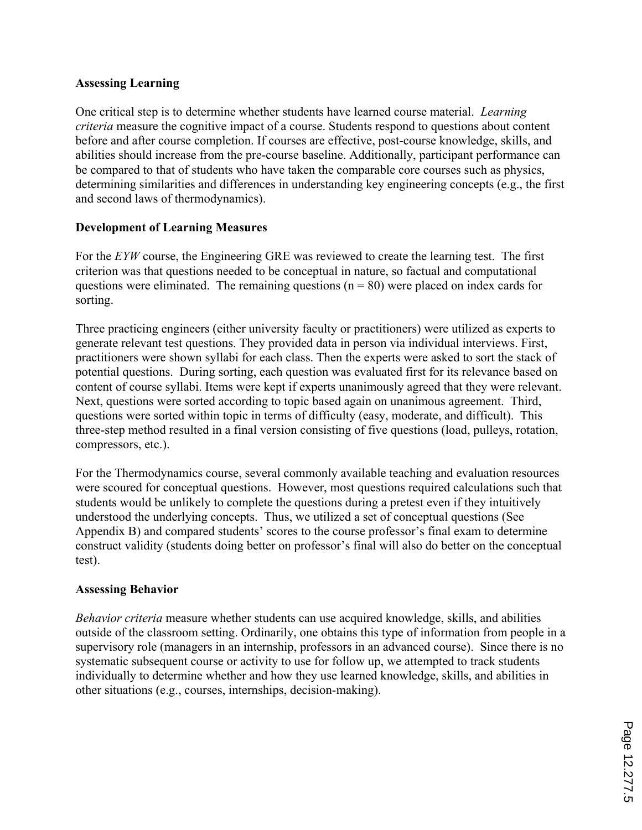### **Assessing Learning**

One critical step is to determine whether students have learned course material. *Learning criteria* measure the cognitive impact of a course. Students respond to questions about content before and after course completion. If courses are effective, post-course knowledge, skills, and abilities should increase from the pre-course baseline. Additionally, participant performance can be compared to that of students who have taken the comparable core courses such as physics, determining similarities and differences in understanding key engineering concepts (e.g., the first and second laws of thermodynamics).

## **Development of Learning Measures**

For the *EYW* course, the Engineering GRE was reviewed to create the learning test. The first criterion was that questions needed to be conceptual in nature, so factual and computational questions were eliminated. The remaining questions ( $n = 80$ ) were placed on index cards for sorting.

Three practicing engineers (either university faculty or practitioners) were utilized as experts to generate relevant test questions. They provided data in person via individual interviews. First, practitioners were shown syllabi for each class. Then the experts were asked to sort the stack of potential questions. During sorting, each question was evaluated first for its relevance based on content of course syllabi. Items were kept if experts unanimously agreed that they were relevant. Next, questions were sorted according to topic based again on unanimous agreement. Third, questions were sorted within topic in terms of difficulty (easy, moderate, and difficult). This three-step method resulted in a final version consisting of five questions (load, pulleys, rotation, compressors, etc.).

For the Thermodynamics course, several commonly available teaching and evaluation resources were scoured for conceptual questions. However, most questions required calculations such that students would be unlikely to complete the questions during a pretest even if they intuitively understood the underlying concepts. Thus, we utilized a set of conceptual questions (See Appendix B) and compared students' scores to the course professor's final exam to determine construct validity (students doing better on professor's final will also do better on the conceptual test).

#### **Assessing Behavior**

*Behavior criteria* measure whether students can use acquired knowledge, skills, and abilities outside of the classroom setting. Ordinarily, one obtains this type of information from people in a supervisory role (managers in an internship, professors in an advanced course). Since there is no systematic subsequent course or activity to use for follow up, we attempted to track students individually to determine whether and how they use learned knowledge, skills, and abilities in other situations (e.g., courses, internships, decision-making).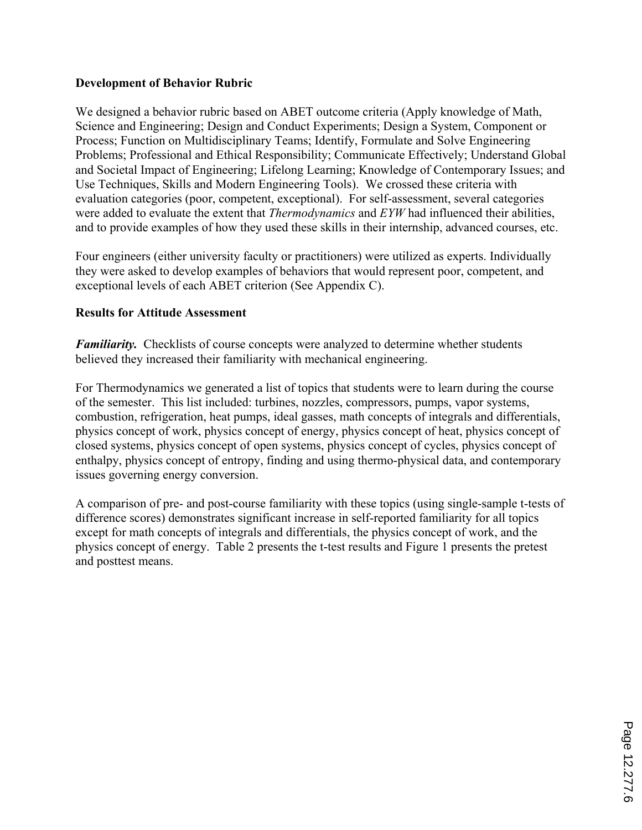### **Development of Behavior Rubric**

We designed a behavior rubric based on ABET outcome criteria (Apply knowledge of Math, Science and Engineering; Design and Conduct Experiments; Design a System, Component or Process; Function on Multidisciplinary Teams; Identify, Formulate and Solve Engineering Problems; Professional and Ethical Responsibility; Communicate Effectively; Understand Global and Societal Impact of Engineering; Lifelong Learning; Knowledge of Contemporary Issues; and Use Techniques, Skills and Modern Engineering Tools). We crossed these criteria with evaluation categories (poor, competent, exceptional). For self-assessment, several categories were added to evaluate the extent that *Thermodynamics* and *EYW* had influenced their abilities, and to provide examples of how they used these skills in their internship, advanced courses, etc.

Four engineers (either university faculty or practitioners) were utilized as experts. Individually they were asked to develop examples of behaviors that would represent poor, competent, and exceptional levels of each ABET criterion (See Appendix C).

#### **Results for Attitude Assessment**

*Familiarity.* Checklists of course concepts were analyzed to determine whether students believed they increased their familiarity with mechanical engineering.

For Thermodynamics we generated a list of topics that students were to learn during the course of the semester. This list included: turbines, nozzles, compressors, pumps, vapor systems, combustion, refrigeration, heat pumps, ideal gasses, math concepts of integrals and differentials, physics concept of work, physics concept of energy, physics concept of heat, physics concept of closed systems, physics concept of open systems, physics concept of cycles, physics concept of enthalpy, physics concept of entropy, finding and using thermo-physical data, and contemporary issues governing energy conversion.

A comparison of pre- and post-course familiarity with these topics (using single-sample t-tests of difference scores) demonstrates significant increase in self-reported familiarity for all topics except for math concepts of integrals and differentials, the physics concept of work, and the physics concept of energy. Table 2 presents the t-test results and Figure 1 presents the pretest and posttest means.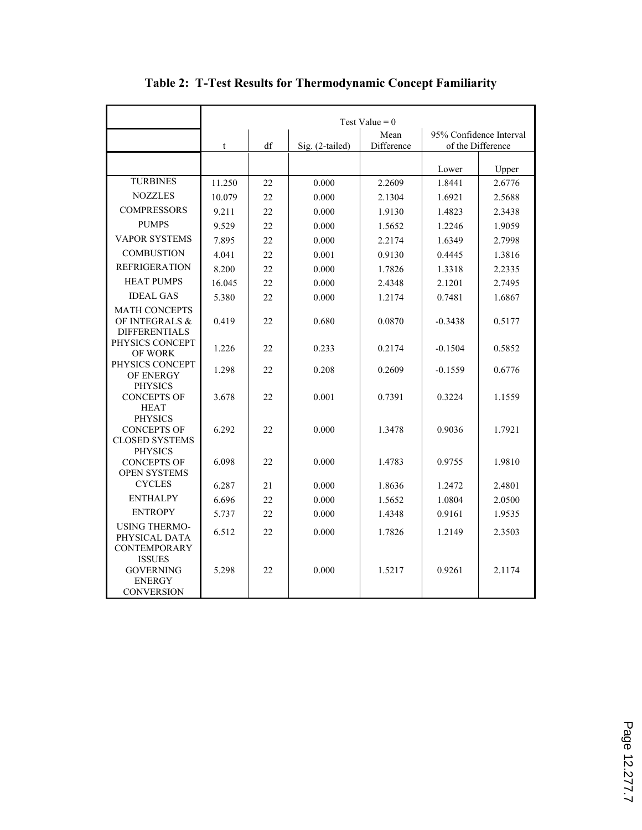|                                                                                 | Test Value = $0$ |      |                 |            |                         |                   |
|---------------------------------------------------------------------------------|------------------|------|-----------------|------------|-------------------------|-------------------|
|                                                                                 |                  | Mean |                 |            | 95% Confidence Interval |                   |
|                                                                                 | $\mathbf t$      | df   | Sig. (2-tailed) | Difference |                         | of the Difference |
|                                                                                 |                  |      |                 |            | Lower                   | Upper             |
| <b>TURBINES</b>                                                                 | 11.250           | 22   | 0.000           | 2.2609     | 1.8441                  | 2.6776            |
| <b>NOZZLES</b>                                                                  | 10.079           | 22   | 0.000           | 2.1304     | 1.6921                  | 2.5688            |
| <b>COMPRESSORS</b>                                                              | 9.211            | 22   | 0.000           | 1.9130     | 1.4823                  | 2.3438            |
| <b>PUMPS</b>                                                                    | 9.529            | 22   | 0.000           |            | 1.2246                  | 1.9059            |
| <b>VAPOR SYSTEMS</b>                                                            | 7.895            | 22   | 0.000           | 1.5652     | 1.6349                  | 2.7998            |
| <b>COMBUSTION</b>                                                               |                  |      |                 | 2.2174     |                         |                   |
| <b>REFRIGERATION</b>                                                            | 4.041            | 22   | 0.001           | 0.9130     | 0.4445                  | 1.3816            |
|                                                                                 | 8.200            | 22   | 0.000           | 1.7826     | 1.3318                  | 2.2335            |
| <b>HEAT PUMPS</b>                                                               | 16.045           | 22   | 0.000           | 2.4348     | 2.1201                  | 2.7495            |
| <b>IDEAL GAS</b>                                                                | 5.380            | 22   | 0.000           | 1.2174     | 0.7481                  | 1.6867            |
| <b>MATH CONCEPTS</b><br>OF INTEGRALS &<br><b>DIFFERENTIALS</b>                  | 0.419            | 22   | 0.680           | 0.0870     | $-0.3438$               | 0.5177            |
| PHYSICS CONCEPT<br><b>OF WORK</b>                                               | 1.226            | 22   | 0.233           | 0.2174     | $-0.1504$               | 0.5852            |
| PHYSICS CONCEPT<br>OF ENERGY                                                    | 1.298            | 22   | 0.208           | 0.2609     | $-0.1559$               | 0.6776            |
| <b>PHYSICS</b><br><b>CONCEPTS OF</b><br><b>HEAT</b>                             | 3.678            | 22   | 0.001           | 0.7391     | 0.3224                  | 1.1559            |
| <b>PHYSICS</b><br><b>CONCEPTS OF</b><br><b>CLOSED SYSTEMS</b><br><b>PHYSICS</b> | 6.292            | 22   | 0.000           | 1.3478     | 0.9036                  | 1.7921            |
| <b>CONCEPTS OF</b><br><b>OPEN SYSTEMS</b>                                       | 6.098            | 22   | 0.000           | 1.4783     | 0.9755                  | 1.9810            |
| <b>CYCLES</b>                                                                   | 6.287            | 21   | 0.000           | 1.8636     | 1.2472                  | 2.4801            |
| <b>ENTHALPY</b>                                                                 | 6.696            | 22   | 0.000           | 1.5652     | 1.0804                  | 2.0500            |
| <b>ENTROPY</b>                                                                  | 5.737            | 22   | 0.000           | 1.4348     | 0.9161                  | 1.9535            |
| <b>USING THERMO-</b><br>PHYSICAL DATA<br><b>CONTEMPORARY</b><br><b>ISSUES</b>   | 6.512            | 22   | 0.000           | 1.7826     | 1.2149                  | 2.3503            |
| <b>GOVERNING</b><br><b>ENERGY</b><br><b>CONVERSION</b>                          | 5.298            | 22.  | 0.000           | 1.5217     | 0.9261                  | 2.1174            |

# **Table 2: T-Test Results for Thermodynamic Concept Familiarity**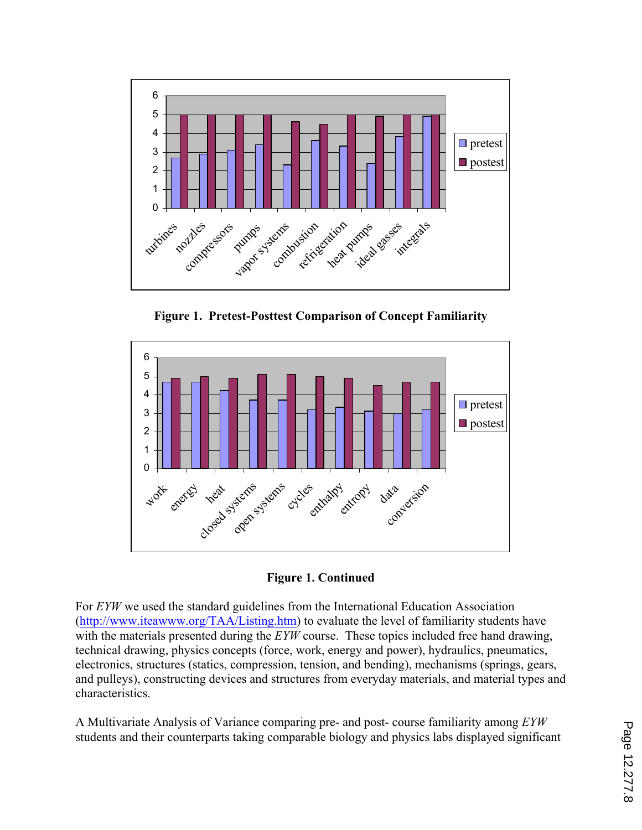

**Figure 1. Pretest-Posttest Comparison of Concept Familiarity** 



**Figure 1. Continued** 

For *EYW* we used the standard guidelines from the International Education Association (http://www.iteawww.org/TAA/Listing.htm) to evaluate the level of familiarity students have with the materials presented during the *EYW* course. These topics included free hand drawing, technical drawing, physics concepts (force, work, energy and power), hydraulics, pneumatics, electronics, structures (statics, compression, tension, and bending), mechanisms (springs, gears, and pulleys), constructing devices and structures from everyday materials, and material types and characteristics.

A Multivariate Analysis of Variance comparing pre- and post- course familiarity among *EYW*  students and their counterparts taking comparable biology and physics labs displayed significant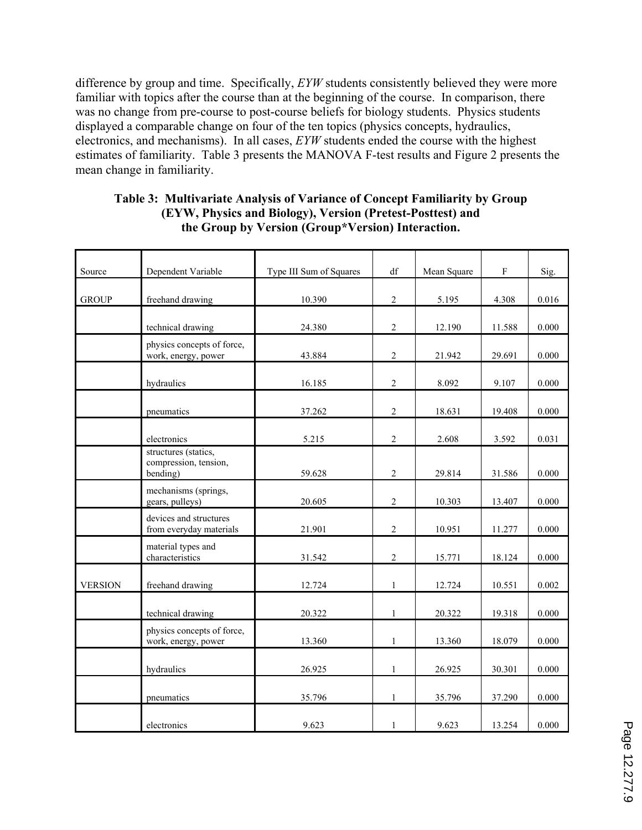difference by group and time. Specifically, *EYW* students consistently believed they were more familiar with topics after the course than at the beginning of the course. In comparison, there was no change from pre-course to post-course beliefs for biology students. Physics students displayed a comparable change on four of the ten topics (physics concepts, hydraulics, electronics, and mechanisms). In all cases, *EYW* students ended the course with the highest estimates of familiarity. Table 3 presents the MANOVA F-test results and Figure 2 presents the mean change in familiarity.

| Source         | Dependent Variable                                        | Type III Sum of Squares | df             | Mean Square | F      | Sig.  |
|----------------|-----------------------------------------------------------|-------------------------|----------------|-------------|--------|-------|
| <b>GROUP</b>   | freehand drawing                                          | 10.390                  | $\overline{2}$ | 5.195       | 4.308  | 0.016 |
|                | technical drawing                                         | 24.380                  | $\overline{2}$ | 12.190      | 11.588 | 0.000 |
|                | physics concepts of force,<br>work, energy, power         | 43.884                  | $\overline{2}$ | 21.942      | 29.691 | 0.000 |
|                | hydraulics                                                | 16.185                  | $\overline{2}$ | 8.092       | 9.107  | 0.000 |
|                | pneumatics                                                | 37.262                  | $\sqrt{2}$     | 18.631      | 19.408 | 0.000 |
|                | electronics                                               | 5.215                   | $\overline{2}$ | 2.608       | 3.592  | 0.031 |
|                | structures (statics,<br>compression, tension,<br>bending) | 59.628                  | $\overline{2}$ | 29.814      | 31.586 | 0.000 |
|                | mechanisms (springs,<br>gears, pulleys)                   | 20.605                  | $\overline{2}$ | 10.303      | 13.407 | 0.000 |
|                | devices and structures<br>from everyday materials         | 21.901                  | $\overline{2}$ | 10.951      | 11.277 | 0.000 |
|                | material types and<br>characteristics                     | 31.542                  | $\overline{2}$ | 15.771      | 18.124 | 0.000 |
| <b>VERSION</b> | freehand drawing                                          | 12.724                  | $\mathbf{1}$   | 12.724      | 10.551 | 0.002 |
|                | technical drawing                                         | 20.322                  | $\mathbf{1}$   | 20.322      | 19.318 | 0.000 |
|                | physics concepts of force,<br>work, energy, power         | 13.360                  | $\mathbf{1}$   | 13.360      | 18.079 | 0.000 |
|                | hydraulics                                                | 26.925                  | $\mathbf{1}$   | 26.925      | 30.301 | 0.000 |
|                | pneumatics                                                | 35.796                  | $\mathbf{1}$   | 35.796      | 37.290 | 0.000 |
|                | electronics                                               | 9.623                   | $\mathbf{1}$   | 9.623       | 13.254 | 0.000 |

### **Table 3: Multivariate Analysis of Variance of Concept Familiarity by Group (EYW, Physics and Biology), Version (Pretest-Posttest) and the Group by Version (Group\*Version) Interaction.**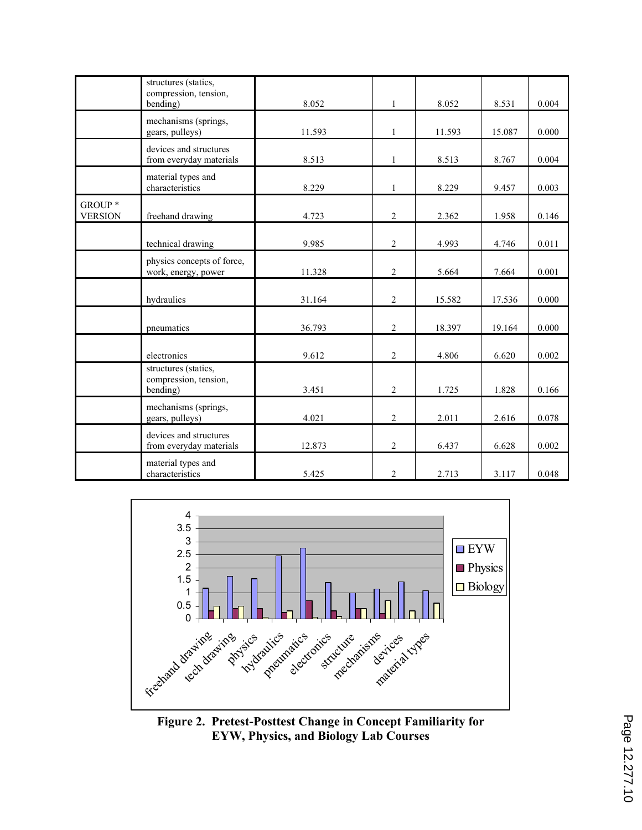|                           | structures (statics,<br>compression, tension,<br>bending) | 8.052  | 1              | 8.052  | 8.531  | 0.004 |
|---------------------------|-----------------------------------------------------------|--------|----------------|--------|--------|-------|
|                           | mechanisms (springs,<br>gears, pulleys)                   | 11.593 | $\mathbf{1}$   | 11.593 | 15.087 | 0.000 |
|                           | devices and structures<br>from everyday materials         | 8.513  | $\mathbf{1}$   | 8.513  | 8.767  | 0.004 |
|                           | material types and<br>characteristics                     | 8.229  | $\mathbf{1}$   | 8.229  | 9.457  | 0.003 |
| GROUP *<br><b>VERSION</b> | freehand drawing                                          | 4.723  | 2              | 2.362  | 1.958  | 0.146 |
|                           | technical drawing                                         | 9.985  | 2              | 4.993  | 4.746  | 0.011 |
|                           | physics concepts of force,<br>work, energy, power         | 11.328 | $\overline{c}$ | 5.664  | 7.664  | 0.001 |
|                           | hydraulics                                                | 31.164 | 2              | 15.582 | 17.536 | 0.000 |
|                           | pneumatics                                                | 36.793 | $\overline{2}$ | 18.397 | 19.164 | 0.000 |
|                           | electronics                                               | 9.612  | 2              | 4.806  | 6.620  | 0.002 |
|                           | structures (statics,<br>compression, tension,<br>bending) | 3.451  | $\overline{2}$ | 1.725  | 1.828  | 0.166 |
|                           | mechanisms (springs,<br>gears, pulleys)                   | 4.021  | $\overline{2}$ | 2.011  | 2.616  | 0.078 |
|                           | devices and structures<br>from everyday materials         | 12.873 | 2              | 6.437  | 6.628  | 0.002 |
|                           | material types and<br>characteristics                     | 5.425  | $\overline{c}$ | 2.713  | 3.117  | 0.048 |



**Figure 2. Pretest-Posttest Change in Concept Familiarity for EYW, Physics, and Biology Lab Courses**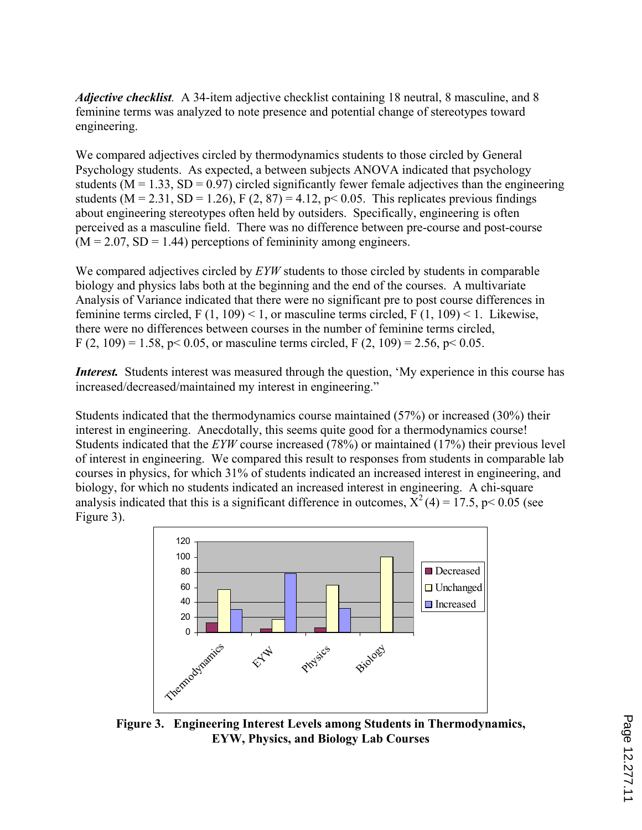*Adjective checklist.* A 34-item adjective checklist containing 18 neutral, 8 masculine, and 8 feminine terms was analyzed to note presence and potential change of stereotypes toward engineering.

We compared adjectives circled by thermodynamics students to those circled by General Psychology students. As expected, a between subjects ANOVA indicated that psychology students ( $M = 1.33$ ,  $SD = 0.97$ ) circled significantly fewer female adjectives than the engineering students (M = 2.31, SD = 1.26), F (2, 87) = 4.12, p < 0.05. This replicates previous findings about engineering stereotypes often held by outsiders. Specifically, engineering is often perceived as a masculine field. There was no difference between pre-course and post-course  $(M = 2.07, SD = 1.44)$  perceptions of femininity among engineers.

We compared adjectives circled by *EYW* students to those circled by students in comparable biology and physics labs both at the beginning and the end of the courses. A multivariate Analysis of Variance indicated that there were no significant pre to post course differences in feminine terms circled, F  $(1, 109)$  < 1, or masculine terms circled, F  $(1, 109)$  < 1. Likewise, there were no differences between courses in the number of feminine terms circled, F (2, 109) = 1.58, p < 0.05, or masculine terms circled, F (2, 109) = 2.56, p < 0.05.

*Interest.* Students interest was measured through the question, 'My experience in this course has increased/decreased/maintained my interest in engineering."

Students indicated that the thermodynamics course maintained (57%) or increased (30%) their interest in engineering. Anecdotally, this seems quite good for a thermodynamics course! Students indicated that the *EYW* course increased (78%) or maintained (17%) their previous level of interest in engineering. We compared this result to responses from students in comparable lab courses in physics, for which 31% of students indicated an increased interest in engineering, and biology, for which no students indicated an increased interest in engineering. A chi-square analysis indicated that this is a significant difference in outcomes,  $\bar{X}^2(4) = 17.5$ , p< 0.05 (see Figure 3).



**Figure 3. Engineering Interest Levels among Students in Thermodynamics, EYW, Physics, and Biology Lab Courses**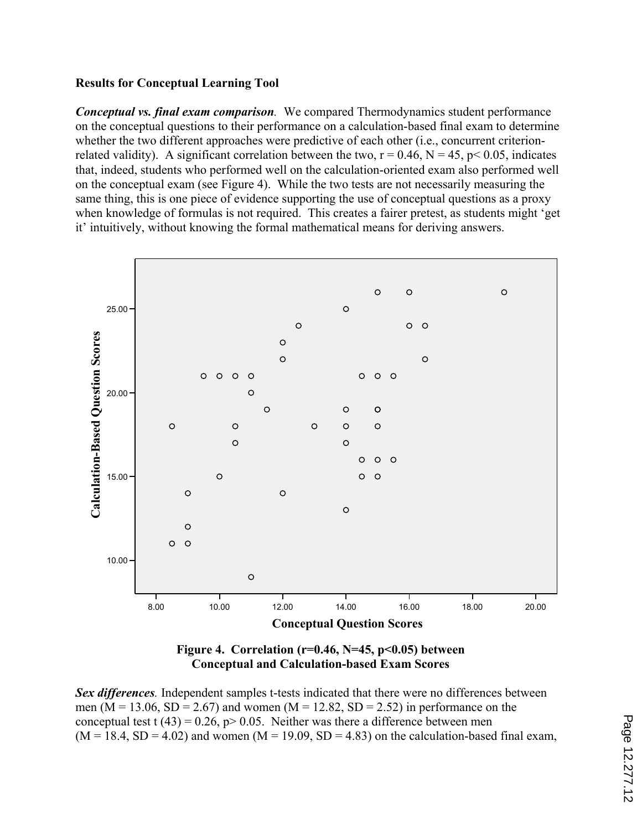## **Results for Conceptual Learning Tool**

*Conceptual vs. final exam comparison.* We compared Thermodynamics student performance on the conceptual questions to their performance on a calculation-based final exam to determine whether the two different approaches were predictive of each other (i.e., concurrent criterionrelated validity). A significant correlation between the two,  $r = 0.46$ ,  $N = 45$ ,  $p < 0.05$ , indicates that, indeed, students who performed well on the calculation-oriented exam also performed well on the conceptual exam (see Figure 4). While the two tests are not necessarily measuring the same thing, this is one piece of evidence supporting the use of conceptual questions as a proxy when knowledge of formulas is not required. This creates a fairer pretest, as students might 'get it' intuitively, without knowing the formal mathematical means for deriving answers.





*Sex differences.* Independent samples t-tests indicated that there were no differences between men ( $M = 13.06$ ,  $SD = 2.67$ ) and women ( $M = 12.82$ ,  $SD = 2.52$ ) in performance on the conceptual test t  $(43) = 0.26$ ,  $p > 0.05$ . Neither was there a difference between men  $(M = 18.4, SD = 4.02)$  and women  $(M = 19.09, SD = 4.83)$  on the calculation-based final exam,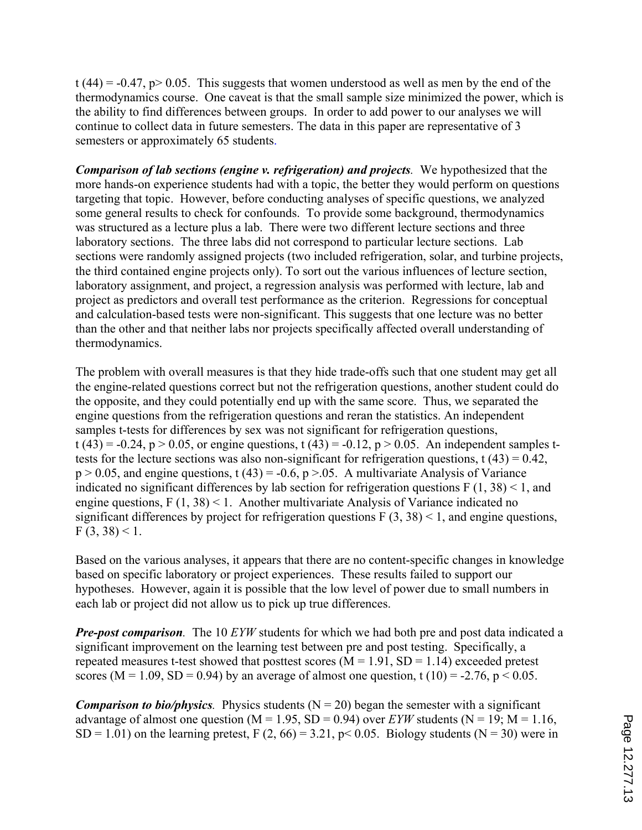t (44) = -0.47, p > 0.05. This suggests that women understood as well as men by the end of the thermodynamics course. One caveat is that the small sample size minimized the power, which is the ability to find differences between groups. In order to add power to our analyses we will continue to collect data in future semesters. The data in this paper are representative of 3 semesters or approximately 65 students.

*Comparison of lab sections (engine v. refrigeration) and projects.* We hypothesized that the more hands-on experience students had with a topic, the better they would perform on questions targeting that topic. However, before conducting analyses of specific questions, we analyzed some general results to check for confounds. To provide some background, thermodynamics was structured as a lecture plus a lab. There were two different lecture sections and three laboratory sections. The three labs did not correspond to particular lecture sections. Lab sections were randomly assigned projects (two included refrigeration, solar, and turbine projects, the third contained engine projects only). To sort out the various influences of lecture section, laboratory assignment, and project, a regression analysis was performed with lecture, lab and project as predictors and overall test performance as the criterion. Regressions for conceptual and calculation-based tests were non-significant. This suggests that one lecture was no better than the other and that neither labs nor projects specifically affected overall understanding of thermodynamics.

The problem with overall measures is that they hide trade-offs such that one student may get all the engine-related questions correct but not the refrigeration questions, another student could do the opposite, and they could potentially end up with the same score. Thus, we separated the engine questions from the refrigeration questions and reran the statistics. An independent samples t-tests for differences by sex was not significant for refrigeration questions,  $t(43) = -0.24$ ,  $p > 0.05$ , or engine questions,  $t(43) = -0.12$ ,  $p > 0.05$ . An independent samples ttests for the lecture sections was also non-significant for refrigeration questions,  $t(43) = 0.42$ ,  $p > 0.05$ , and engine questions, t (43) = -0.6,  $p > 0.05$ . A multivariate Analysis of Variance indicated no significant differences by lab section for refrigeration questions  $F(1, 38) < 1$ , and engine questions,  $F(1, 38) < 1$ . Another multivariate Analysis of Variance indicated no significant differences by project for refrigeration questions  $F(3, 38) < 1$ , and engine questions,  $F(3, 38) < 1.$ 

Based on the various analyses, it appears that there are no content-specific changes in knowledge based on specific laboratory or project experiences. These results failed to support our hypotheses. However, again it is possible that the low level of power due to small numbers in each lab or project did not allow us to pick up true differences.

*Pre-post comparison.* The 10 *EYW* students for which we had both pre and post data indicated a significant improvement on the learning test between pre and post testing. Specifically, a repeated measures t-test showed that posttest scores  $(M = 1.91, SD = 1.14)$  exceeded pretest scores (M = 1.09, SD = 0.94) by an average of almost one question, t (10) = -2.76, p < 0.05.

*Comparison to bio/physics.* Physics students  $(N = 20)$  began the semester with a significant advantage of almost one question ( $M = 1.95$ ,  $SD = 0.94$ ) over *EYW* students ( $N = 19$ ;  $M = 1.16$ ,  $SD = 1.01$ ) on the learning pretest, F (2, 66) = 3.21, p< 0.05. Biology students (N = 30) were in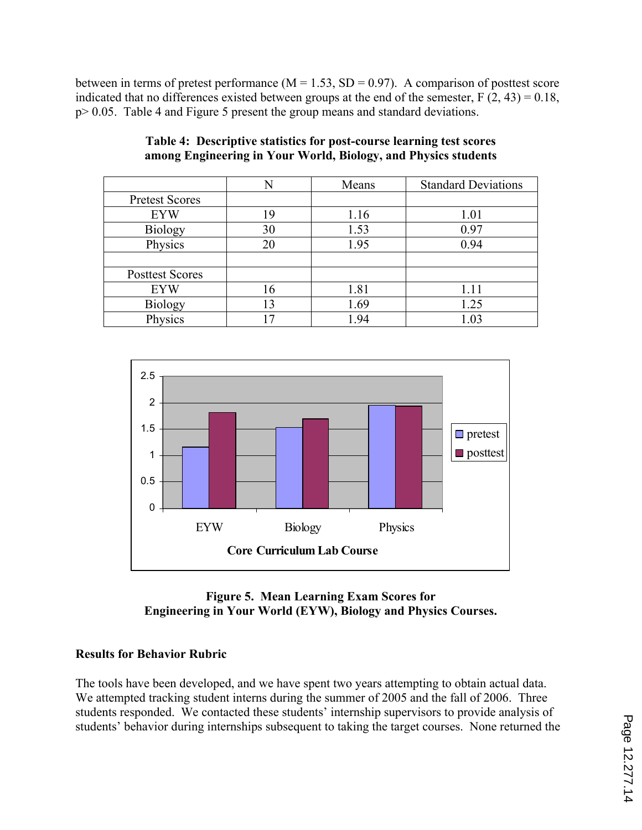between in terms of pretest performance ( $M = 1.53$ ,  $SD = 0.97$ ). A comparison of posttest score indicated that no differences existed between groups at the end of the semester,  $F(2, 43) = 0.18$ , p> 0.05. Table 4 and Figure 5 present the group means and standard deviations.

|                        | N  | Means | <b>Standard Deviations</b> |
|------------------------|----|-------|----------------------------|
| <b>Pretest Scores</b>  |    |       |                            |
| <b>EYW</b>             | 19 | 1.16  | 1.01                       |
| <b>Biology</b>         | 30 | 1.53  | 0.97                       |
| Physics                | 20 | 1.95  | 0.94                       |
|                        |    |       |                            |
| <b>Posttest Scores</b> |    |       |                            |
| <b>EYW</b>             | 16 | 1.81  | 1.11                       |
| <b>Biology</b>         | 13 | 1.69  | 1.25                       |
| Physics                | 7  | 1.94  | 1.03                       |

**Table 4: Descriptive statistics for post-course learning test scores among Engineering in Your World, Biology, and Physics students** 



## **Figure 5. Mean Learning Exam Scores for Engineering in Your World (EYW), Biology and Physics Courses.**

## **Results for Behavior Rubric**

The tools have been developed, and we have spent two years attempting to obtain actual data. We attempted tracking student interns during the summer of 2005 and the fall of 2006. Three students responded. We contacted these students' internship supervisors to provide analysis of students' behavior during internships subsequent to taking the target courses. None returned the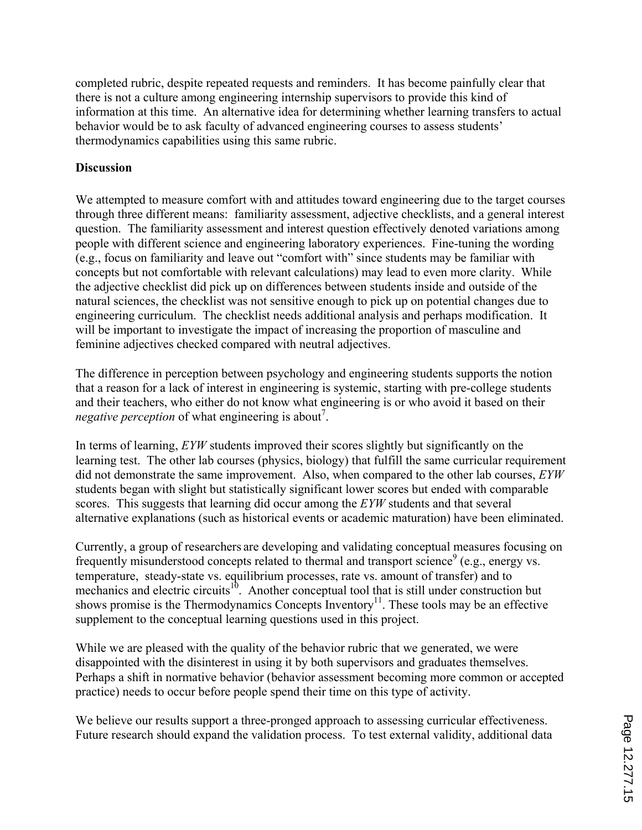completed rubric, despite repeated requests and reminders. It has become painfully clear that there is not a culture among engineering internship supervisors to provide this kind of information at this time. An alternative idea for determining whether learning transfers to actual behavior would be to ask faculty of advanced engineering courses to assess students' thermodynamics capabilities using this same rubric.

#### **Discussion**

We attempted to measure comfort with and attitudes toward engineering due to the target courses through three different means: familiarity assessment, adjective checklists, and a general interest question. The familiarity assessment and interest question effectively denoted variations among people with different science and engineering laboratory experiences. Fine-tuning the wording (e.g., focus on familiarity and leave out "comfort with" since students may be familiar with concepts but not comfortable with relevant calculations) may lead to even more clarity. While the adjective checklist did pick up on differences between students inside and outside of the natural sciences, the checklist was not sensitive enough to pick up on potential changes due to engineering curriculum. The checklist needs additional analysis and perhaps modification. It will be important to investigate the impact of increasing the proportion of masculine and feminine adjectives checked compared with neutral adjectives.

The difference in perception between psychology and engineering students supports the notion that a reason for a lack of interest in engineering is systemic, starting with pre-college students and their teachers, who either do not know what engineering is or who avoid it based on their *negative perception* of what engineering is about<sup>7</sup>.

In terms of learning, *EYW* students improved their scores slightly but significantly on the learning test. The other lab courses (physics, biology) that fulfill the same curricular requirement did not demonstrate the same improvement. Also, when compared to the other lab courses, *EYW* students began with slight but statistically significant lower scores but ended with comparable scores. This suggests that learning did occur among the *EYW* students and that several alternative explanations (such as historical events or academic maturation) have been eliminated.

Currently, a group of researchers are developing and validating conceptual measures focusing on frequently misunderstood concepts related to thermal and transport science<sup>9</sup> (e.g., energy vs. temperature, steady-state vs. equilibrium processes, rate vs. amount of transfer) and to mechanics and electric circuits<sup>10</sup>. Another conceptual tool that is still under construction but shows promise is the Thermodynamics Concepts Inventory<sup>11</sup>. These tools may be an effective supplement to the conceptual learning questions used in this project.

While we are pleased with the quality of the behavior rubric that we generated, we were disappointed with the disinterest in using it by both supervisors and graduates themselves. Perhaps a shift in normative behavior (behavior assessment becoming more common or accepted practice) needs to occur before people spend their time on this type of activity.

We believe our results support a three-pronged approach to assessing curricular effectiveness. Future research should expand the validation process. To test external validity, additional data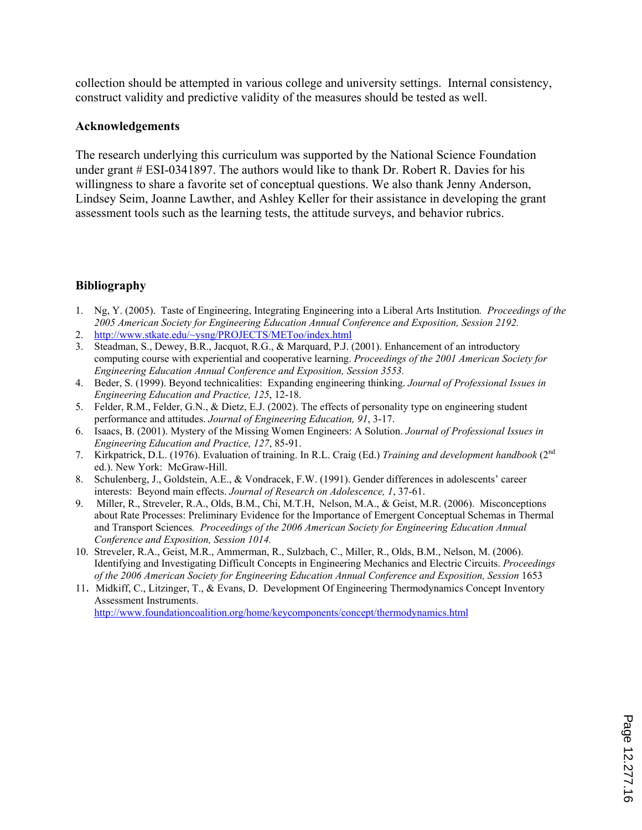collection should be attempted in various college and university settings. Internal consistency, construct validity and predictive validity of the measures should be tested as well.

#### **Acknowledgements**

The research underlying this curriculum was supported by the National Science Foundation under grant # ESI-0341897. The authors would like to thank Dr. Robert R. Davies for his willingness to share a favorite set of conceptual questions. We also thank Jenny Anderson, Lindsey Seim, Joanne Lawther, and Ashley Keller for their assistance in developing the grant assessment tools such as the learning tests, the attitude surveys, and behavior rubrics.

## **Bibliography**

- 1. Ng, Y. (2005). Taste of Engineering, Integrating Engineering into a Liberal Arts Institution*. Proceedings of the 2005 American Society for Engineering Education Annual Conference and Exposition, Session 2192.*
- 2. http://www.stkate.edu/~ysng/PROJECTS/METoo/index.html
- 3. Steadman, S., Dewey, B.R., Jacquot, R.G., & Marquard, P.J. (2001). Enhancement of an introductory computing course with experiential and cooperative learning. *Proceedings of the 2001 American Society for Engineering Education Annual Conference and Exposition, Session 3553.*
- 4. Beder, S. (1999). Beyond technicalities: Expanding engineering thinking. *Journal of Professional Issues in Engineering Education and Practice, 125*, 12-18.
- 5. Felder, R.M., Felder, G.N., & Dietz, E.J. (2002). The effects of personality type on engineering student performance and attitudes. *Journal of Engineering Education, 91*, 3-17.
- 6. Isaacs, B. (2001). Mystery of the Missing Women Engineers: A Solution. *Journal of Professional Issues in Engineering Education and Practice, 127*, 85-91.
- 7. Kirkpatrick, D.L. (1976). Evaluation of training. In R.L. Craig (Ed.) *Training and development handbook* (2nd ed.). New York: McGraw-Hill.
- 8. Schulenberg, J., Goldstein, A.E., & Vondracek, F.W. (1991). Gender differences in adolescents' career interests: Beyond main effects. *Journal of Research on Adolescence, 1*, 37-61.
- 9. Miller, R., Streveler, R.A., Olds, B.M., Chi, M.T.H, Nelson, M.A., & Geist, M.R. (2006). Misconceptions about Rate Processes: Preliminary Evidence for the Importance of Emergent Conceptual Schemas in Thermal and Transport Sciences*. Proceedings of the 2006 American Society for Engineering Education Annual Conference and Exposition, Session 1014.*
- 10. Streveler, R.A., Geist, M.R., Ammerman, R., Sulzbach, C., Miller, R., Olds, B.M., Nelson, M. (2006). Identifying and Investigating Difficult Concepts in Engineering Mechanics and Electric Circuits. *Proceedings of the 2006 American Society for Engineering Education Annual Conference and Exposition, Session* 1653
- 11. Midkiff, C., Litzinger, T., & Evans, D. Development Of Engineering Thermodynamics Concept Inventory Assessment Instruments.

http://www.foundationcoalition.org/home/keycomponents/concept/thermodynamics.html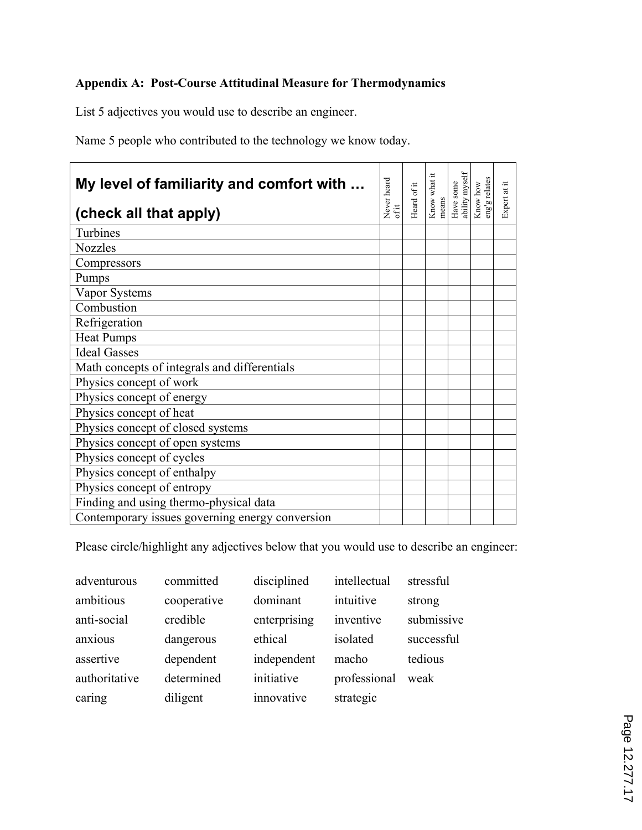# **Appendix A: Post-Course Attitudinal Measure for Thermodynamics**

List 5 adjectives you would use to describe an engineer.

Name 5 people who contributed to the technology we know today.

| My level of familiarity and comfort with<br>(check all that apply) | Never heard<br>ofit | Heard of it | Know what it<br>means | ability myself<br>Have some | Know how<br>eng'g relates | Expert at it |
|--------------------------------------------------------------------|---------------------|-------------|-----------------------|-----------------------------|---------------------------|--------------|
| Turbines                                                           |                     |             |                       |                             |                           |              |
| <b>Nozzles</b>                                                     |                     |             |                       |                             |                           |              |
| Compressors                                                        |                     |             |                       |                             |                           |              |
| Pumps                                                              |                     |             |                       |                             |                           |              |
| Vapor Systems                                                      |                     |             |                       |                             |                           |              |
| Combustion                                                         |                     |             |                       |                             |                           |              |
| Refrigeration                                                      |                     |             |                       |                             |                           |              |
| <b>Heat Pumps</b>                                                  |                     |             |                       |                             |                           |              |
| <b>Ideal Gasses</b>                                                |                     |             |                       |                             |                           |              |
| Math concepts of integrals and differentials                       |                     |             |                       |                             |                           |              |
| Physics concept of work                                            |                     |             |                       |                             |                           |              |
| Physics concept of energy                                          |                     |             |                       |                             |                           |              |
| Physics concept of heat                                            |                     |             |                       |                             |                           |              |
| Physics concept of closed systems                                  |                     |             |                       |                             |                           |              |
| Physics concept of open systems                                    |                     |             |                       |                             |                           |              |
| Physics concept of cycles                                          |                     |             |                       |                             |                           |              |
| Physics concept of enthalpy                                        |                     |             |                       |                             |                           |              |
| Physics concept of entropy                                         |                     |             |                       |                             |                           |              |
| Finding and using thermo-physical data                             |                     |             |                       |                             |                           |              |
| Contemporary issues governing energy conversion                    |                     |             |                       |                             |                           |              |

Please circle/highlight any adjectives below that you would use to describe an engineer:

| adventurous   | committed   | disciplined  | intellectual | stressful  |
|---------------|-------------|--------------|--------------|------------|
| ambitious     | cooperative | dominant     | intuitive    | strong     |
| anti-social   | credible    | enterprising | inventive    | submissive |
| anxious       | dangerous   | ethical      | isolated     | successful |
| assertive     | dependent   | independent  | macho        | tedious    |
| authoritative | determined  | initiative   | professional | weak       |
| caring        | diligent    | innovative   | strategic    |            |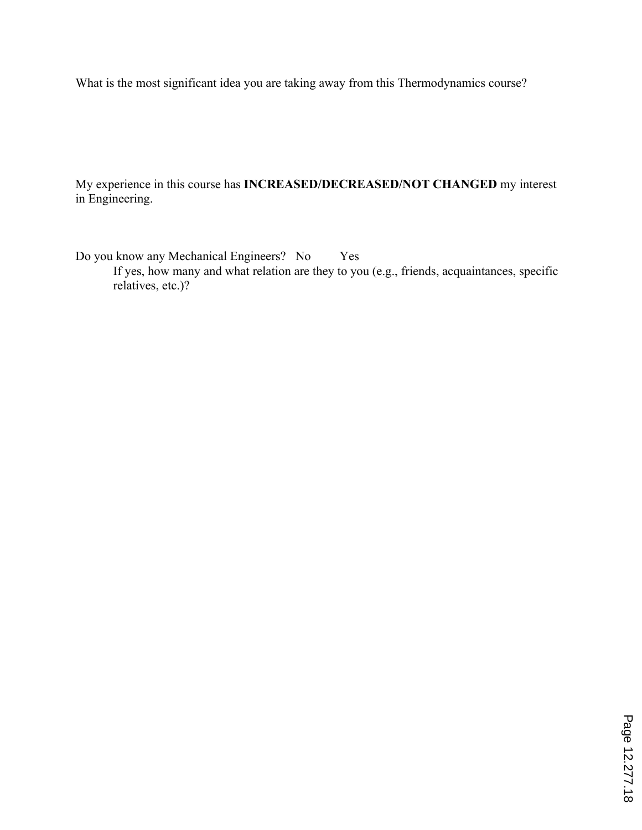What is the most significant idea you are taking away from this Thermodynamics course?

My experience in this course has **INCREASED/DECREASED/NOT CHANGED** my interest in Engineering.

Do you know any Mechanical Engineers? No Yes If yes, how many and what relation are they to you (e.g., friends, acquaintances, specific relatives, etc.)?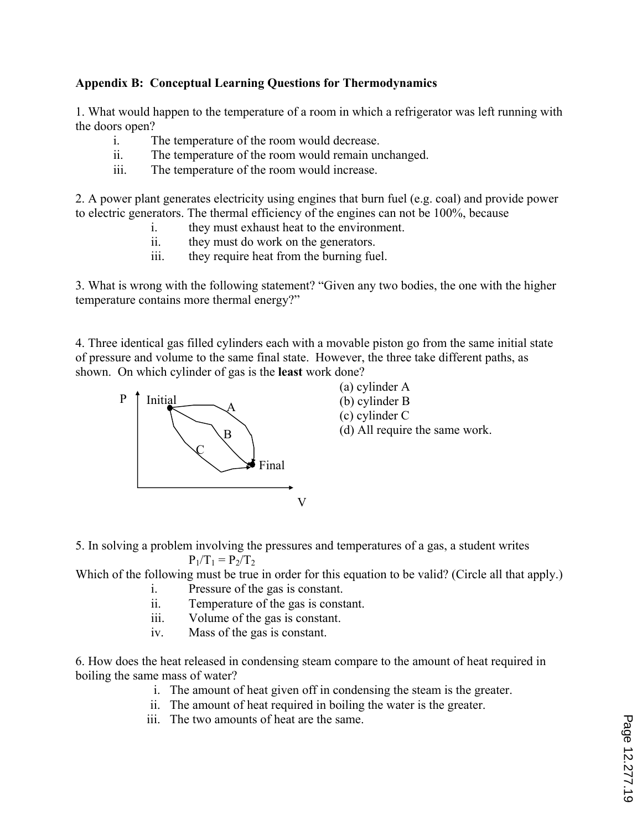## **Appendix B: Conceptual Learning Questions for Thermodynamics**

1. What would happen to the temperature of a room in which a refrigerator was left running with the doors open?

- i. The temperature of the room would decrease.
- ii. The temperature of the room would remain unchanged.
- iii. The temperature of the room would increase.

2. A power plant generates electricity using engines that burn fuel (e.g. coal) and provide power to electric generators. The thermal efficiency of the engines can not be 100%, because

- i. they must exhaust heat to the environment.
- ii. they must do work on the generators.
- iii. they require heat from the burning fuel.

3. What is wrong with the following statement? "Given any two bodies, the one with the higher temperature contains more thermal energy?"

4. Three identical gas filled cylinders each with a movable piston go from the same initial state of pressure and volume to the same final state. However, the three take different paths, as shown. On which cylinder of gas is the **least** work done?



5. In solving a problem involving the pressures and temperatures of a gas, a student writes  $P_1/T_1 = P_2/T_2$ 

Which of the following must be true in order for this equation to be valid? (Circle all that apply.)

- i. Pressure of the gas is constant.
- ii. Temperature of the gas is constant.
- iii. Volume of the gas is constant.
- iv. Mass of the gas is constant.

6. How does the heat released in condensing steam compare to the amount of heat required in boiling the same mass of water?

- i. The amount of heat given off in condensing the steam is the greater.
- ii. The amount of heat required in boiling the water is the greater.
- iii. The two amounts of heat are the same.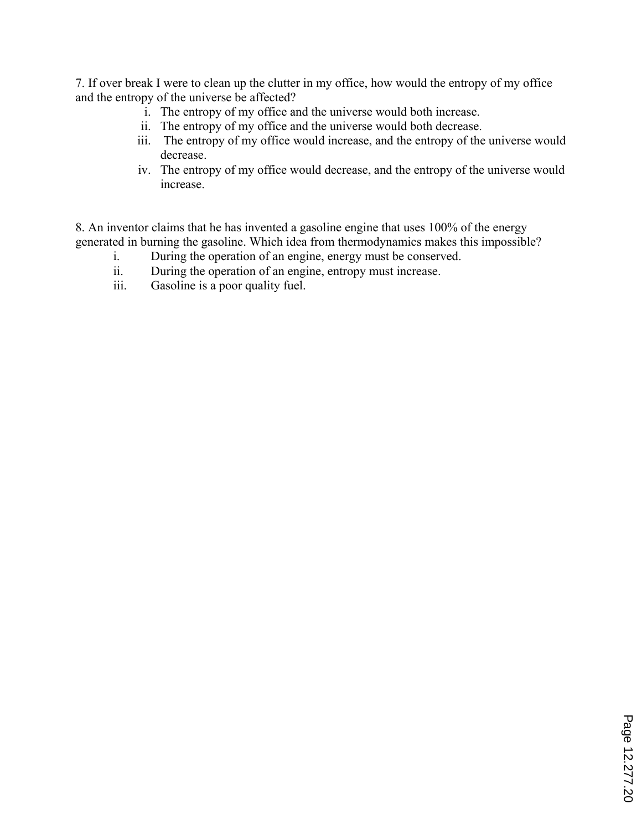7. If over break I were to clean up the clutter in my office, how would the entropy of my office and the entropy of the universe be affected?

- i. The entropy of my office and the universe would both increase.
- ii. The entropy of my office and the universe would both decrease.
- iii. The entropy of my office would increase, and the entropy of the universe would decrease.
- iv. The entropy of my office would decrease, and the entropy of the universe would increase.

8. An inventor claims that he has invented a gasoline engine that uses 100% of the energy generated in burning the gasoline. Which idea from thermodynamics makes this impossible?

- i. During the operation of an engine, energy must be conserved.
- ii. During the operation of an engine, entropy must increase.
- iii. Gasoline is a poor quality fuel.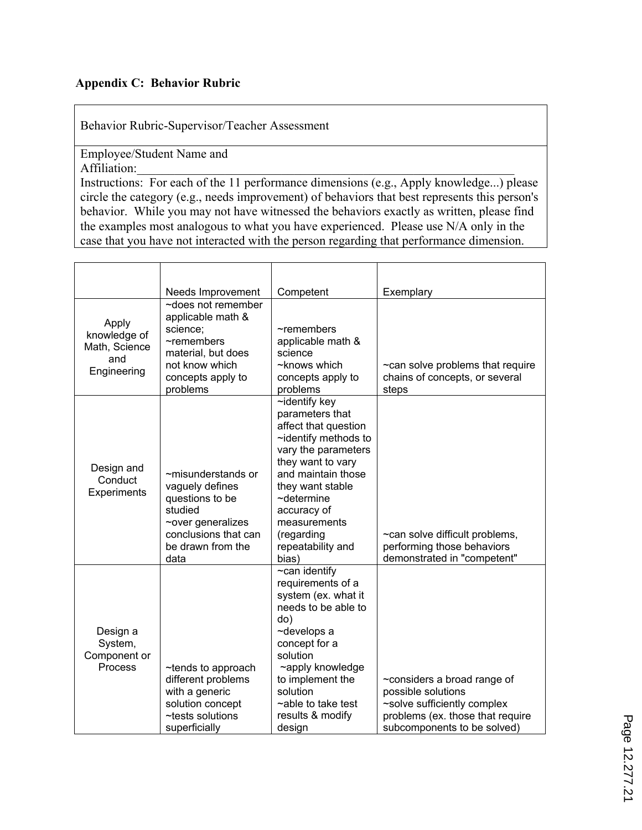## **Appendix C: Behavior Rubric**

Behavior Rubric-Supervisor/Teacher Assessment

Employee/Student Name and Affiliation:

Instructions: For each of the 11 performance dimensions (e.g., Apply knowledge...) please circle the category (e.g., needs improvement) of behaviors that best represents this person's behavior. While you may not have witnessed the behaviors exactly as written, please find the examples most analogous to what you have experienced. Please use N/A only in the case that you have not interacted with the person regarding that performance dimension.

|                                                              | Needs Improvement                                                                                                                                      | Competent                                                                                                                                                                                                                                                                   | Exemplary                                                                                                                                           |
|--------------------------------------------------------------|--------------------------------------------------------------------------------------------------------------------------------------------------------|-----------------------------------------------------------------------------------------------------------------------------------------------------------------------------------------------------------------------------------------------------------------------------|-----------------------------------------------------------------------------------------------------------------------------------------------------|
| Apply<br>knowledge of<br>Math, Science<br>and<br>Engineering | $\sim$ does not remember<br>applicable math &<br>science;<br>$\neg$ remembers<br>material, but does<br>not know which<br>concepts apply to<br>problems | $\sim$ remembers<br>applicable math &<br>science<br>~knows which<br>concepts apply to<br>problems                                                                                                                                                                           | ~can solve problems that require<br>chains of concepts, or several<br>steps                                                                         |
| Design and<br>Conduct<br><b>Experiments</b>                  | ~misunderstands or<br>vaguely defines<br>questions to be<br>studied<br>~over generalizes<br>conclusions that can<br>be drawn from the<br>data          | $\sim$ identify key<br>parameters that<br>affect that question<br>~identify methods to<br>vary the parameters<br>they want to vary<br>and maintain those<br>they want stable<br>$\sim$ determine<br>accuracy of<br>measurements<br>(regarding<br>repeatability and<br>bias) | ~can solve difficult problems,<br>performing those behaviors<br>demonstrated in "competent"                                                         |
| Design a<br>System,<br>Component or<br>Process               | ~tends to approach<br>different problems<br>with a generic<br>solution concept<br>~tests solutions<br>superficially                                    | $\overline{\sim}$ can identify<br>requirements of a<br>system (ex. what it<br>needs to be able to<br>do)<br>~develops a<br>concept for a<br>solution<br>~apply knowledge<br>to implement the<br>solution<br>$\sim$ able to take test<br>results & modify<br>design          | ~considers a broad range of<br>possible solutions<br>~solve sufficiently complex<br>problems (ex. those that require<br>subcomponents to be solved) |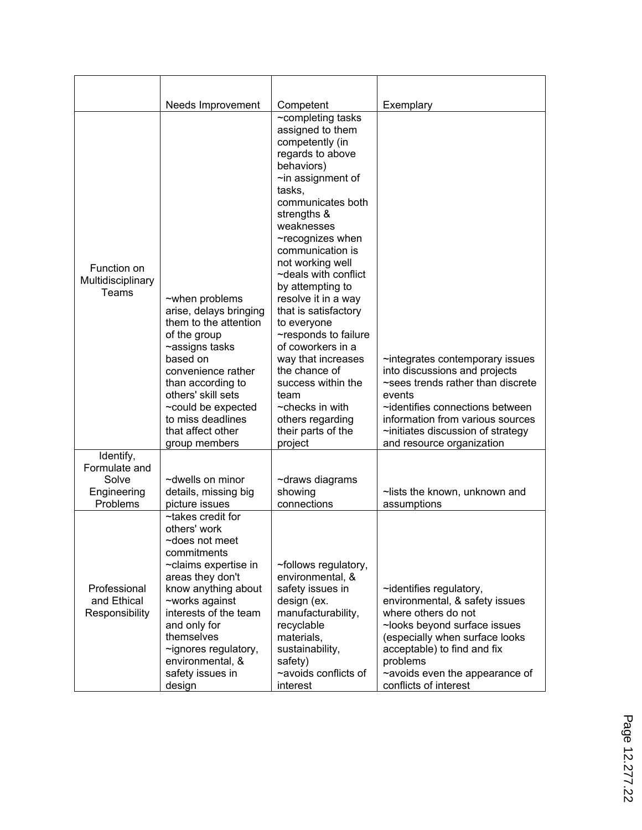|                                                                | Needs Improvement                                                                                                                                                                                                                                                                        | Competent                                                                                                                                                                                                                                                                                                                                                                                                                                                                                                                                                                      | Exemplary                                                                                                                                                                                                                                                      |
|----------------------------------------------------------------|------------------------------------------------------------------------------------------------------------------------------------------------------------------------------------------------------------------------------------------------------------------------------------------|--------------------------------------------------------------------------------------------------------------------------------------------------------------------------------------------------------------------------------------------------------------------------------------------------------------------------------------------------------------------------------------------------------------------------------------------------------------------------------------------------------------------------------------------------------------------------------|----------------------------------------------------------------------------------------------------------------------------------------------------------------------------------------------------------------------------------------------------------------|
| Function on<br>Multidisciplinary<br>Teams                      | ~when problems<br>arise, delays bringing<br>them to the attention<br>of the group<br>~assigns tasks<br>based on<br>convenience rather<br>than according to<br>others' skill sets<br>~could be expected<br>to miss deadlines<br>that affect other<br>group members                        | $\overline{\sim}$ completing tasks<br>assigned to them<br>competently (in<br>regards to above<br>behaviors)<br>$\sim$ in assignment of<br>tasks,<br>communicates both<br>strengths &<br>weaknesses<br>~recognizes when<br>communication is<br>not working well<br>$\sim$ deals with conflict<br>by attempting to<br>resolve it in a way<br>that is satisfactory<br>to everyone<br>~responds to failure<br>of coworkers in a<br>way that increases<br>the chance of<br>success within the<br>team<br>$\sim$ checks in with<br>others regarding<br>their parts of the<br>project | ~integrates contemporary issues<br>into discussions and projects<br>~sees trends rather than discrete<br>events<br>~identifies connections between<br>information from various sources<br>$\sim$ initiates discussion of strategy<br>and resource organization |
| Identify,<br>Formulate and<br>Solve<br>Engineering<br>Problems | ~dwells on minor<br>details, missing big<br>picture issues                                                                                                                                                                                                                               | ~draws diagrams<br>showing<br>connections                                                                                                                                                                                                                                                                                                                                                                                                                                                                                                                                      | ~lists the known, unknown and<br>assumptions                                                                                                                                                                                                                   |
| Professional<br>and Ethical<br>Responsibility                  | ~takes credit for<br>others' work<br>~does not meet<br>commitments<br>~claims expertise in<br>areas they don't<br>know anything about<br>~works against<br>interests of the team<br>and only for<br>themselves<br>~ignores regulatory,<br>environmental, &<br>safety issues in<br>design | ~follows regulatory,<br>environmental, &<br>safety issues in<br>design (ex.<br>manufacturability,<br>recyclable<br>materials.<br>sustainability,<br>safety)<br>~avoids conflicts of<br>interest                                                                                                                                                                                                                                                                                                                                                                                | $\sim$ identifies regulatory,<br>environmental, & safety issues<br>where others do not<br>~looks beyond surface issues<br>(especially when surface looks<br>acceptable) to find and fix<br>problems<br>~avoids even the appearance of<br>conflicts of interest |